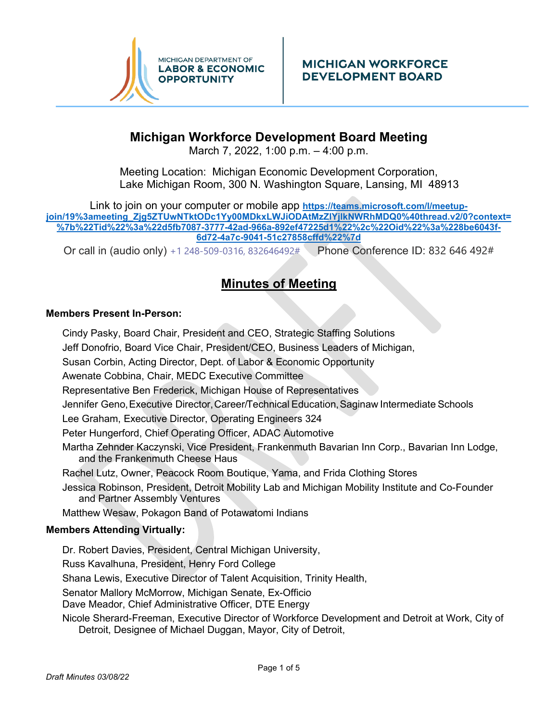

## **Michigan Workforce Development Board Meeting**

March 7, 2022, 1:00 p.m. – 4:00 p.m.

Meeting Location: Michigan Economic Development Corporation, Lake Michigan Room, 300 N. Washington Square, Lansing, MI 48913

Link to join on your computer or mobile app **https://teams.microsoft.com/l/meetupjoin/19%3ameeting\_Zjg5ZTUwNTktODc1Yy00MDkxLWJiODAtMzZlYjlkNWRhMDQ0%40thread.v2/0?context= %7b%22Tid%22%3a%22d5fb7087-3777-42ad-966a-892ef47225d1%22%2c%22Oid%22%3a%228be6043f-6d72-4a7c-9041-51c27858cffd%22%7d** 

Or call in (audio only) [+1 248-509-0316,](tel:+12485090316,,832646492#%20) 832646492# Phone Conference ID: 832 646 492#

# **Minutes of Meeting**

## **Members Present In-Person:**

Cindy Pasky, Board Chair, President and CEO, Strategic Staffing Solutions Jeff Donofrio, Board Vice Chair, President/CEO, Business Leaders of Michigan, Susan Corbin, Acting Director, Dept. of Labor & Economic Opportunity Awenate Cobbina, Chair, MEDC Executive Committee Representative Ben Frederick, Michigan House of Representatives Jennifer Geno, Executive Director, Career/Technical Education, Saginaw Intermediate Schools Lee Graham, Executive Director, Operating Engineers 324 Peter Hungerford, Chief Operating Officer, ADAC Automotive Martha Zehnder Kaczynski, Vice President, Frankenmuth Bavarian Inn Corp., Bavarian Inn Lodge, and the Frankenmuth Cheese Haus Rachel Lutz, Owner, Peacock Room Boutique, Yama, and Frida Clothing Stores Jessica Robinson, President, Detroit Mobility Lab and Michigan Mobility Institute and Co-Founder and Partner Assembly Ventures Matthew Wesaw, Pokagon Band of Potawatomi Indians **Members Attending Virtually:**

Dr. Robert Davies, President, Central Michigan University, Russ Kavalhuna, President, Henry Ford College Shana Lewis, Executive Director of Talent Acquisition, Trinity Health, Senator Mallory McMorrow, Michigan Senate, Ex-Officio Dave Meador, Chief Administrative Officer, DTE Energy Nicole Sherard-Freeman, Executive Director of Workforce Development and Detroit at Work, City of Detroit, Designee of Michael Duggan, Mayor, City of Detroit,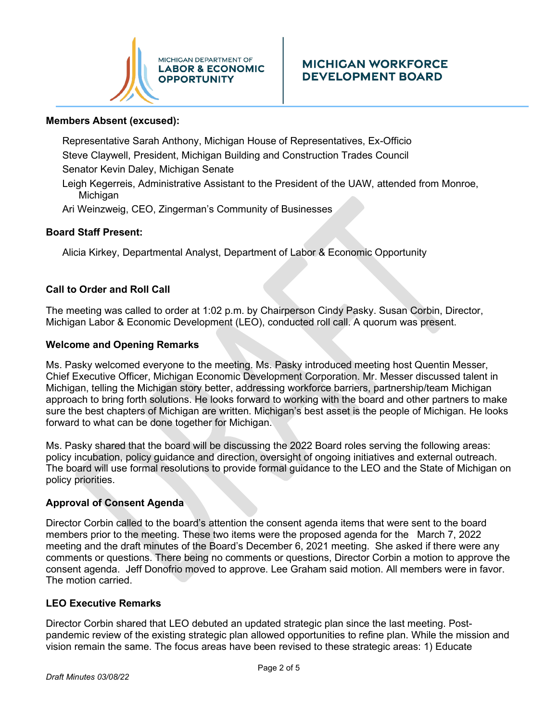

#### **Members Absent (excused):**

Representative Sarah Anthony, Michigan House of Representatives, Ex-Officio Steve Claywell, President, Michigan Building and Construction Trades Council Senator Kevin Daley, Michigan Senate

Leigh Kegerreis, Administrative Assistant to the President of the UAW, attended from Monroe, Michigan

Ari Weinzweig, CEO, Zingerman's Community of Businesses

#### **Board Staff Present:**

Alicia Kirkey, Departmental Analyst, Department of Labor & Economic Opportunity

#### **Call to Order and Roll Call**

The meeting was called to order at 1:02 p.m. by Chairperson Cindy Pasky. Susan Corbin, Director, Michigan Labor & Economic Development (LEO), conducted roll call. A quorum was present.

#### **Welcome and Opening Remarks**

Ms. Pasky welcomed everyone to the meeting. Ms. Pasky introduced meeting host Quentin Messer, Chief Executive Officer, Michigan Economic Development Corporation. Mr. Messer discussed talent in Michigan, telling the Michigan story better, addressing workforce barriers, partnership/team Michigan approach to bring forth solutions. He looks forward to working with the board and other partners to make sure the best chapters of Michigan are written. Michigan's best asset is the people of Michigan. He looks forward to what can be done together for Michigan.

Ms. Pasky shared that the board will be discussing the 2022 Board roles serving the following areas: policy incubation, policy guidance and direction, oversight of ongoing initiatives and external outreach. The board will use formal resolutions to provide formal guidance to the LEO and the State of Michigan on policy priorities.

#### **Approval of Consent Agenda**

Director Corbin called to the board's attention the consent agenda items that were sent to the board members prior to the meeting. These two items were the proposed agenda for the March 7, 2022 meeting and the draft minutes of the Board's December 6, 2021 meeting. She asked if there were any comments or questions. There being no comments or questions, Director Corbin a motion to approve the consent agenda. Jeff Donofrio moved to approve. Lee Graham said motion. All members were in favor. The motion carried.

#### **LEO Executive Remarks**

Director Corbin shared that LEO debuted an updated strategic plan since the last meeting. Postpandemic review of the existing strategic plan allowed opportunities to refine plan. While the mission and vision remain the same. The focus areas have been revised to these strategic areas: 1) Educate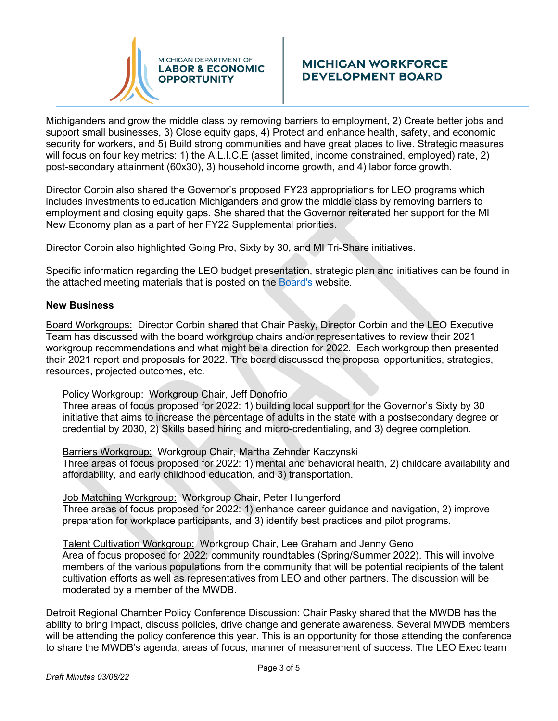

## **MICHIGAN WORKFORCE DEVELOPMENT BOARD**

Michiganders and grow the middle class by removing barriers to employment, 2) Create better jobs and support small businesses, 3) Close equity gaps, 4) Protect and enhance health, safety, and economic security for workers, and 5) Build strong communities and have great places to live. Strategic measures will focus on four key metrics: 1) the A.L.I.C.E (asset limited, income constrained, employed) rate, 2) post-secondary attainment (60x30), 3) household income growth, and 4) labor force growth.

Director Corbin also shared the Governor's proposed FY23 appropriations for LEO programs which includes investments to education Michiganders and grow the middle class by removing barriers to employment and closing equity gaps. She shared that the Governor reiterated her support for the MI New Economy plan as a part of her FY22 Supplemental priorities.

Director Corbin also highlighted Going Pro, Sixty by 30, and MI Tri-Share initiatives.

Specific information regarding the LEO budget presentation, strategic plan and initiatives can be found in the attached meeting materials that is posted on the [Board's w](https://www.michigan.gov/leo/0,5863,7-336-94421_100335---,00.html)ebsite.

#### **New Business**

Board Workgroups: Director Corbin shared that Chair Pasky, Director Corbin and the LEO Executive Team has discussed with the board workgroup chairs and/or representatives to review their 2021 workgroup recommendations and what might be a direction for 2022. Each workgroup then presented their 2021 report and proposals for 2022. The board discussed the proposal opportunities, strategies, resources, projected outcomes, etc.

Policy Workgroup: Workgroup Chair, Jeff Donofrio

Three areas of focus proposed for 2022: 1) building local support for the Governor's Sixty by 30 initiative that aims to increase the percentage of adults in the state with a postsecondary degree or credential by 2030, 2) Skills based hiring and micro-credentialing, and 3) degree completion.

Barriers Workgroup: Workgroup Chair, Martha Zehnder Kaczynski Three areas of focus proposed for 2022: 1) mental and behavioral health, 2) childcare availability and affordability, and early childhood education, and 3) transportation.

Job Matching Workgroup: Workgroup Chair, Peter Hungerford Three areas of focus proposed for 2022: 1) enhance career guidance and navigation, 2) improve preparation for workplace participants, and 3) identify best practices and pilot programs.

Talent Cultivation Workgroup: Workgroup Chair, Lee Graham and Jenny Geno Area of focus proposed for 2022: community roundtables (Spring/Summer 2022). This will involve members of the various populations from the community that will be potential recipients of the talent cultivation efforts as well as representatives from LEO and other partners. The discussion will be moderated by a member of the MWDB.

Detroit Regional Chamber Policy Conference Discussion: Chair Pasky shared that the MWDB has the ability to bring impact, discuss policies, drive change and generate awareness. Several MWDB members will be attending the policy conference this year. This is an opportunity for those attending the conference to share the MWDB's agenda, areas of focus, manner of measurement of success. The LEO Exec team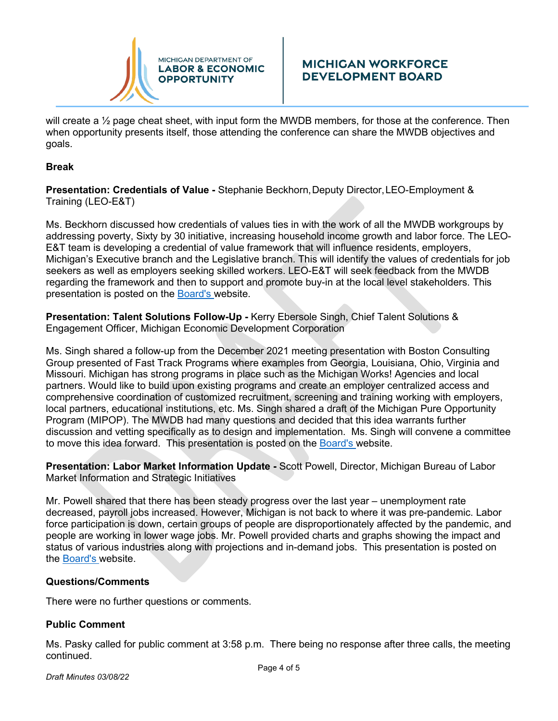

## **MICHIGAN WORKFORCE DEVELOPMENT BOARD**

will create a <sup>1</sup>/<sub>2</sub> page cheat sheet, with input form the MWDB members, for those at the conference. Then when opportunity presents itself, those attending the conference can share the MWDB objectives and goals.

#### **Break**

**Presentation: Credentials of Value -** Stephanie Beckhorn, Deputy Director, LEO-Employment & Training (LEO-E&T)

Ms. Beckhorn discussed how credentials of values ties in with the work of all the MWDB workgroups by addressing poverty, Sixty by 30 initiative, increasing household income growth and labor force. The LEO-E&T team is developing a credential of value framework that will influence residents, employers, Michigan's Executive branch and the Legislative branch. This will identify the values of credentials for job seekers as well as employers seeking skilled workers. LEO-E&T will seek feedback from the MWDB regarding the framework and then to support and promote buy-in at the local level stakeholders. This presentation is posted on the [Board's w](https://www.michigan.gov/leo/0,5863,7-336-94421_100335---,00.html)ebsite.

**Presentation: Talent Solutions Follow-Up -** Kerry Ebersole Singh, Chief Talent Solutions & Engagement Officer, Michigan Economic Development Corporation

Ms. Singh shared a follow-up from the December 2021 meeting presentation with Boston Consulting Group presented of Fast Track Programs where examples from Georgia, Louisiana, Ohio, Virginia and Missouri. Michigan has strong programs in place such as the Michigan Works! Agencies and local partners. Would like to build upon existing programs and create an employer centralized access and comprehensive coordination of customized recruitment, screening and training working with employers, local partners, educational institutions, etc. Ms. Singh shared a draft of the Michigan Pure Opportunity Program (MIPOP). The MWDB had many questions and decided that this idea warrants further discussion and vetting specifically as to design and implementation. Ms. Singh will convene a committee to move this idea forward. This presentation is posted on the [Board's w](https://www.michigan.gov/leo/0,5863,7-336-94421_100335---,00.html)ebsite.

**Presentation: Labor Market Information Update -** Scott Powell, Director, Michigan Bureau of Labor Market Information and Strategic Initiatives

Mr. Powell shared that there has been steady progress over the last year – unemployment rate decreased, payroll jobs increased. However, Michigan is not back to where it was pre-pandemic. Labor force participation is down, certain groups of people are disproportionately affected by the pandemic, and people are working in lower wage jobs. Mr. Powell provided charts and graphs showing the impact and status of various industries along with projections and in-demand jobs. This presentation is posted on the [Board's w](https://www.michigan.gov/leo/0,5863,7-336-94421_100335---,00.html)ebsite.

#### **Questions/Comments**

There were no further questions or comments.

## **Public Comment**

Ms. Pasky called for public comment at 3:58 p.m. There being no response after three calls, the meeting continued.